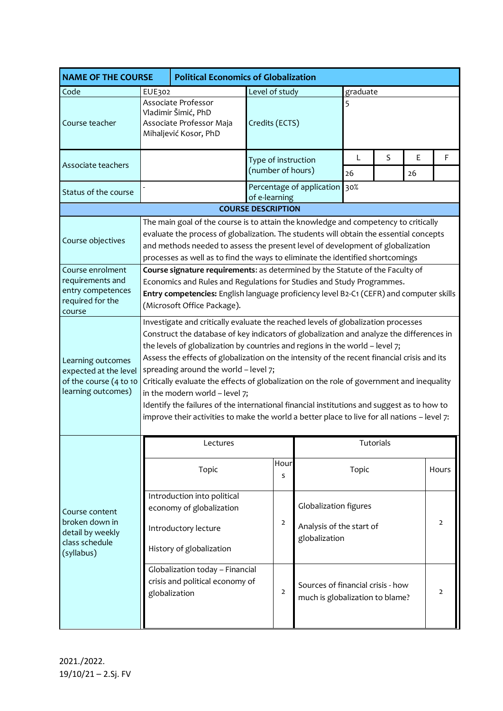| <b>NAME OF THE COURSE</b>                                                                  |                                                                                                                                                                                                                                                                                                                                                                                                                                                                                                                                                                                                                                                                                                                                    | <b>Political Economics of Globalization</b>                                                                 |                     |                                                                      |           |   |    |                |  |
|--------------------------------------------------------------------------------------------|------------------------------------------------------------------------------------------------------------------------------------------------------------------------------------------------------------------------------------------------------------------------------------------------------------------------------------------------------------------------------------------------------------------------------------------------------------------------------------------------------------------------------------------------------------------------------------------------------------------------------------------------------------------------------------------------------------------------------------|-------------------------------------------------------------------------------------------------------------|---------------------|----------------------------------------------------------------------|-----------|---|----|----------------|--|
| Code                                                                                       | EUE302                                                                                                                                                                                                                                                                                                                                                                                                                                                                                                                                                                                                                                                                                                                             |                                                                                                             | Level of study      | graduate                                                             |           |   |    |                |  |
| Course teacher                                                                             |                                                                                                                                                                                                                                                                                                                                                                                                                                                                                                                                                                                                                                                                                                                                    | Associate Professor<br>Vladimir Šimić, PhD<br>Associate Professor Maja<br>Mihaljević Kosor, PhD             | Credits (ECTS)      | 5                                                                    |           |   |    |                |  |
| Associate teachers                                                                         |                                                                                                                                                                                                                                                                                                                                                                                                                                                                                                                                                                                                                                                                                                                                    |                                                                                                             | Type of instruction |                                                                      | L         | S | E  | F              |  |
|                                                                                            |                                                                                                                                                                                                                                                                                                                                                                                                                                                                                                                                                                                                                                                                                                                                    |                                                                                                             | (number of hours)   |                                                                      | 26        |   | 26 |                |  |
| Status of the course                                                                       |                                                                                                                                                                                                                                                                                                                                                                                                                                                                                                                                                                                                                                                                                                                                    |                                                                                                             | of e-learning       | Percentage of application 30%                                        |           |   |    |                |  |
|                                                                                            | <b>COURSE DESCRIPTION</b>                                                                                                                                                                                                                                                                                                                                                                                                                                                                                                                                                                                                                                                                                                          |                                                                                                             |                     |                                                                      |           |   |    |                |  |
| Course objectives                                                                          | The main goal of the course is to attain the knowledge and competency to critically<br>evaluate the process of globalization. The students will obtain the essential concepts<br>and methods needed to assess the present level of development of globalization<br>processes as well as to find the ways to eliminate the identified shortcomings                                                                                                                                                                                                                                                                                                                                                                                  |                                                                                                             |                     |                                                                      |           |   |    |                |  |
| Course enrolment<br>requirements and<br>entry competences<br>required for the<br>course    | Course signature requirements: as determined by the Statute of the Faculty of<br>Economics and Rules and Regulations for Studies and Study Programmes.<br>Entry competencies: English language proficiency level B2-C1 (CEFR) and computer skills<br>(Microsoft Office Package).                                                                                                                                                                                                                                                                                                                                                                                                                                                   |                                                                                                             |                     |                                                                      |           |   |    |                |  |
| Learning outcomes<br>expected at the level<br>of the course (4 to 10<br>learning outcomes) | Investigate and critically evaluate the reached levels of globalization processes<br>Construct the database of key indicators of globalization and analyze the differences in<br>the levels of globalization by countries and regions in the world - level 7;<br>Assess the effects of globalization on the intensity of the recent financial crisis and its<br>spreading around the world - level 7;<br>Critically evaluate the effects of globalization on the role of government and inequality<br>in the modern world - level 7;<br>Identify the failures of the international financial institutions and suggest as to how to<br>improve their activities to make the world a better place to live for all nations - level 7: |                                                                                                             |                     |                                                                      |           |   |    |                |  |
|                                                                                            | Lectures                                                                                                                                                                                                                                                                                                                                                                                                                                                                                                                                                                                                                                                                                                                           |                                                                                                             |                     |                                                                      | Tutorials |   |    |                |  |
| Course content<br>broken down in<br>detail by weekly<br>class schedule<br>(syllabus)       |                                                                                                                                                                                                                                                                                                                                                                                                                                                                                                                                                                                                                                                                                                                                    | Topic                                                                                                       | Hour<br>S           |                                                                      | Topic     |   |    | Hours          |  |
|                                                                                            |                                                                                                                                                                                                                                                                                                                                                                                                                                                                                                                                                                                                                                                                                                                                    | Introduction into political<br>economy of globalization<br>Introductory lecture<br>History of globalization | $\overline{2}$      | Globalization figures<br>Analysis of the start of<br>globalization   |           |   |    | $\overline{2}$ |  |
|                                                                                            |                                                                                                                                                                                                                                                                                                                                                                                                                                                                                                                                                                                                                                                                                                                                    | Globalization today - Financial<br>crisis and political economy of<br>globalization                         | $\overline{2}$      | Sources of financial crisis - how<br>much is globalization to blame? |           |   |    | $\overline{2}$ |  |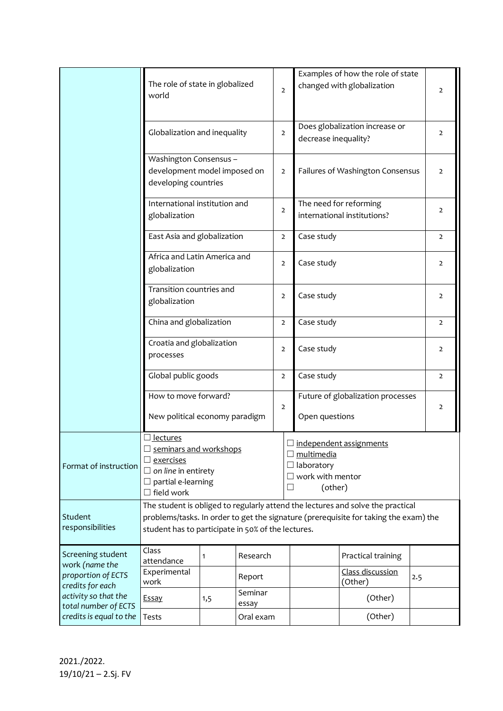|                                                                                                                                                          | The role of state in globalized<br>world                                                                                                                                                                                      |   |                  | $\overline{2}$ |  |                                                                                                         | Examples of how the role of state<br>changed with globalization |     | $\overline{2}$ |
|----------------------------------------------------------------------------------------------------------------------------------------------------------|-------------------------------------------------------------------------------------------------------------------------------------------------------------------------------------------------------------------------------|---|------------------|----------------|--|---------------------------------------------------------------------------------------------------------|-----------------------------------------------------------------|-----|----------------|
|                                                                                                                                                          | Globalization and inequality                                                                                                                                                                                                  |   |                  |                |  |                                                                                                         | Does globalization increase or<br>decrease inequality?          |     |                |
|                                                                                                                                                          | Washington Consensus -<br>development model imposed on<br>developing countries                                                                                                                                                |   |                  |                |  | Failures of Washington Consensus                                                                        |                                                                 |     | $\overline{2}$ |
|                                                                                                                                                          | International institution and<br>globalization                                                                                                                                                                                |   |                  |                |  | The need for reforming<br>international institutions?                                                   |                                                                 |     | 2              |
|                                                                                                                                                          | East Asia and globalization                                                                                                                                                                                                   |   |                  |                |  | Case study                                                                                              |                                                                 |     | $\mathbf{2}$   |
|                                                                                                                                                          | Africa and Latin America and<br>globalization                                                                                                                                                                                 |   |                  |                |  | Case study                                                                                              |                                                                 |     | $\overline{2}$ |
|                                                                                                                                                          | Transition countries and<br>globalization                                                                                                                                                                                     |   |                  | $\overline{2}$ |  | Case study                                                                                              | $\overline{2}$                                                  |     |                |
|                                                                                                                                                          | China and globalization                                                                                                                                                                                                       |   |                  | $\overline{2}$ |  | Case study                                                                                              |                                                                 |     | $\overline{2}$ |
|                                                                                                                                                          | Croatia and globalization<br>processes<br>Global public goods                                                                                                                                                                 |   |                  | $\overline{2}$ |  | Case study                                                                                              |                                                                 |     | $\overline{2}$ |
|                                                                                                                                                          |                                                                                                                                                                                                                               |   |                  | $\overline{2}$ |  | Case study                                                                                              |                                                                 |     | $\mathbf{2}$   |
|                                                                                                                                                          | How to move forward?<br>New political economy paradigm                                                                                                                                                                        |   |                  |                |  | Open questions                                                                                          | Future of globalization processes                               |     | $\overline{2}$ |
| Format of instruction                                                                                                                                    | □ <u>lectures</u><br>$\Box$ seminars and workshops<br>$\square$ exercises<br>$\Box$ on line in entirety<br>$\square$ partial e-learning<br>$\Box$ field work                                                                  |   |                  |                |  | $\Box$ independent assignments<br>$\Box$ multimedia<br>$\Box$ laboratory<br>work with mentor<br>(other) |                                                                 |     |                |
| Student<br>responsibilities                                                                                                                              | The student is obliged to regularly attend the lectures and solve the practical<br>problems/tasks. In order to get the signature (prerequisite for taking the exam) the<br>student has to participate in 50% of the lectures. |   |                  |                |  |                                                                                                         |                                                                 |     |                |
| Screening student<br>work (name the<br>proportion of ECTS<br>credits for each<br>activity so that the<br>total number of ECTS<br>credits is equal to the | Class<br>attendance                                                                                                                                                                                                           | 1 | Research         |                |  |                                                                                                         | Practical training                                              |     |                |
|                                                                                                                                                          | Experimental<br>Report<br>work                                                                                                                                                                                                |   |                  |                |  |                                                                                                         | Class discussion<br>(Other)                                     | 2.5 |                |
|                                                                                                                                                          | <b>Essay</b><br>1,5                                                                                                                                                                                                           |   | Seminar<br>essay |                |  |                                                                                                         | (Other)                                                         |     |                |
|                                                                                                                                                          | Tests                                                                                                                                                                                                                         |   | Oral exam        |                |  |                                                                                                         | (Other)                                                         |     |                |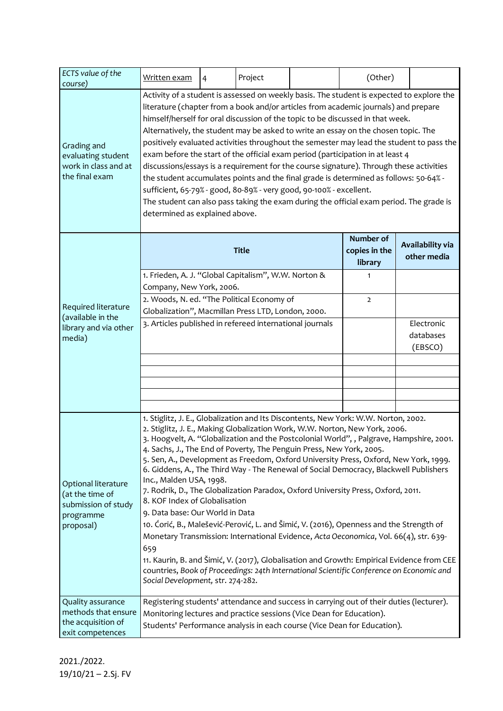| ECTS value of the<br>course)                                                            | Written exam                                                                                                                                                                                                                                                                                                                                                                                                                                                                                                                                                                                                                                                                                                                                                                                                                                                                                                                                                                                                                                                                                                                         | 4            | Project                               |                                    | (Other) |  |  |
|-----------------------------------------------------------------------------------------|--------------------------------------------------------------------------------------------------------------------------------------------------------------------------------------------------------------------------------------------------------------------------------------------------------------------------------------------------------------------------------------------------------------------------------------------------------------------------------------------------------------------------------------------------------------------------------------------------------------------------------------------------------------------------------------------------------------------------------------------------------------------------------------------------------------------------------------------------------------------------------------------------------------------------------------------------------------------------------------------------------------------------------------------------------------------------------------------------------------------------------------|--------------|---------------------------------------|------------------------------------|---------|--|--|
| Grading and<br>evaluating student<br>work in class and at<br>the final exam             | Activity of a student is assessed on weekly basis. The student is expected to explore the<br>literature (chapter from a book and/or articles from academic journals) and prepare<br>himself/herself for oral discussion of the topic to be discussed in that week.<br>Alternatively, the student may be asked to write an essay on the chosen topic. The<br>positively evaluated activities throughout the semester may lead the student to pass the<br>exam before the start of the official exam period (participation in at least 4<br>discussions/essays is a requirement for the course signature). Through these activities<br>the student accumulates points and the final grade is determined as follows: 50-64% -<br>sufficient, 65-79% - good, 80-89% - very good, 90-100% - excellent.<br>The student can also pass taking the exam during the official exam period. The grade is<br>determined as explained above.                                                                                                                                                                                                       |              |                                       |                                    |         |  |  |
| Required literature<br>(available in the<br>library and via other<br>media)             |                                                                                                                                                                                                                                                                                                                                                                                                                                                                                                                                                                                                                                                                                                                                                                                                                                                                                                                                                                                                                                                                                                                                      | <b>Title</b> | Number of<br>copies in the<br>library | Availability via<br>other media    |         |  |  |
|                                                                                         | 1. Frieden, A. J. "Global Capitalism", W.W. Norton &<br>Company, New York, 2006.                                                                                                                                                                                                                                                                                                                                                                                                                                                                                                                                                                                                                                                                                                                                                                                                                                                                                                                                                                                                                                                     |              | 1                                     |                                    |         |  |  |
|                                                                                         | 2. Woods, N. ed. "The Political Economy of<br>Globalization", Macmillan Press LTD, London, 2000.                                                                                                                                                                                                                                                                                                                                                                                                                                                                                                                                                                                                                                                                                                                                                                                                                                                                                                                                                                                                                                     |              | $\overline{2}$                        |                                    |         |  |  |
|                                                                                         | 3. Articles published in refereed international journals                                                                                                                                                                                                                                                                                                                                                                                                                                                                                                                                                                                                                                                                                                                                                                                                                                                                                                                                                                                                                                                                             |              |                                       | Electronic<br>databases<br>(EBSCO) |         |  |  |
|                                                                                         |                                                                                                                                                                                                                                                                                                                                                                                                                                                                                                                                                                                                                                                                                                                                                                                                                                                                                                                                                                                                                                                                                                                                      |              |                                       |                                    |         |  |  |
|                                                                                         |                                                                                                                                                                                                                                                                                                                                                                                                                                                                                                                                                                                                                                                                                                                                                                                                                                                                                                                                                                                                                                                                                                                                      |              |                                       |                                    |         |  |  |
| Optional literature<br>(at the time of<br>submission of study<br>programme<br>proposal) | 1. Stiglitz, J. E., Globalization and Its Discontents, New York: W.W. Norton, 2002.<br>2. Stiglitz, J. E., Making Globalization Work, W.W. Norton, New York, 2006.<br>3. Hoogvelt, A. "Globalization and the Postcolonial World", , Palgrave, Hampshire, 2001.<br>4. Sachs, J., The End of Poverty, The Penguin Press, New York, 2005.<br>5. Sen, A., Development as Freedom, Oxford University Press, Oxford, New York, 1999.<br>6. Giddens, A., The Third Way - The Renewal of Social Democracy, Blackwell Publishers<br>Inc., Malden USA, 1998.<br>7. Rodrik, D., The Globalization Paradox, Oxford University Press, Oxford, 2011.<br>8. KOF Index of Globalisation<br>9. Data base: Our World in Data<br>10. Ćorić, B., Malešević-Perović, L. and Šimić, V. (2016), Openness and the Strength of<br>Monetary Transmission: International Evidence, Acta Oeconomica, Vol. 66(4), str. 639-<br>659<br>11. Kaurin, B. and Šimić, V. (2017), Globalisation and Growth: Empirical Evidence from CEE<br>countries, Book of Proceedings: 24th International Scientific Conference on Economic and<br>Social Development, str. 274-282. |              |                                       |                                    |         |  |  |
| Quality assurance<br>methods that ensure<br>the acquisition of<br>exit competences      | Registering students' attendance and success in carrying out of their duties (lecturer).<br>Monitoring lectures and practice sessions (Vice Dean for Education).<br>Students' Performance analysis in each course (Vice Dean for Education).                                                                                                                                                                                                                                                                                                                                                                                                                                                                                                                                                                                                                                                                                                                                                                                                                                                                                         |              |                                       |                                    |         |  |  |